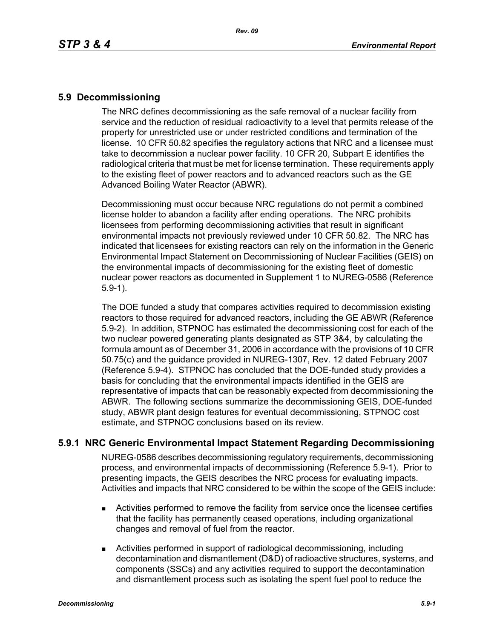## **5.9 Decommissioning**

The NRC defines decommissioning as the safe removal of a nuclear facility from service and the reduction of residual radioactivity to a level that permits release of the property for unrestricted use or under restricted conditions and termination of the license. 10 CFR 50.82 specifies the regulatory actions that NRC and a licensee must take to decommission a nuclear power facility. 10 CFR 20, Subpart E identifies the radiological criteria that must be met for license termination. These requirements apply to the existing fleet of power reactors and to advanced reactors such as the GE Advanced Boiling Water Reactor (ABWR).

Decommissioning must occur because NRC regulations do not permit a combined license holder to abandon a facility after ending operations. The NRC prohibits licensees from performing decommissioning activities that result in significant environmental impacts not previously reviewed under 10 CFR 50.82. The NRC has indicated that licensees for existing reactors can rely on the information in the Generic Environmental Impact Statement on Decommissioning of Nuclear Facilities (GEIS) on the environmental impacts of decommissioning for the existing fleet of domestic nuclear power reactors as documented in Supplement 1 to NUREG-0586 (Reference 5.9-1).

The DOE funded a study that compares activities required to decommission existing reactors to those required for advanced reactors, including the GE ABWR (Reference 5.9-2). In addition, STPNOC has estimated the decommissioning cost for each of the two nuclear powered generating plants designated as STP 3&4, by calculating the formula amount as of December 31, 2006 in accordance with the provisions of 10 CFR 50.75(c) and the guidance provided in NUREG-1307, Rev. 12 dated February 2007 (Reference 5.9-4). STPNOC has concluded that the DOE-funded study provides a basis for concluding that the environmental impacts identified in the GEIS are representative of impacts that can be reasonably expected from decommissioning the ABWR. The following sections summarize the decommissioning GEIS, DOE-funded study, ABWR plant design features for eventual decommissioning, STPNOC cost estimate, and STPNOC conclusions based on its review.

## **5.9.1 NRC Generic Environmental Impact Statement Regarding Decommissioning**

NUREG-0586 describes decommissioning regulatory requirements, decommissioning process, and environmental impacts of decommissioning (Reference 5.9-1). Prior to presenting impacts, the GEIS describes the NRC process for evaluating impacts. Activities and impacts that NRC considered to be within the scope of the GEIS include:

- Activities performed to remove the facility from service once the licensee certifies that the facility has permanently ceased operations, including organizational changes and removal of fuel from the reactor.
- Activities performed in support of radiological decommissioning, including decontamination and dismantlement (D&D) of radioactive structures, systems, and components (SSCs) and any activities required to support the decontamination and dismantlement process such as isolating the spent fuel pool to reduce the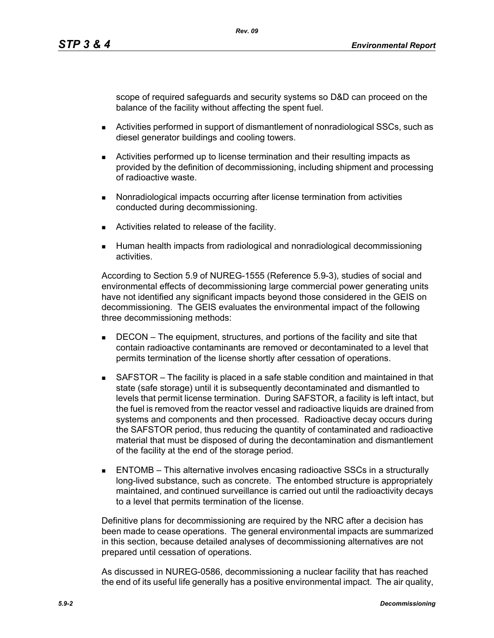scope of required safeguards and security systems so D&D can proceed on the balance of the facility without affecting the spent fuel.

- Activities performed in support of dismantlement of nonradiological SSCs, such as diesel generator buildings and cooling towers.
- Activities performed up to license termination and their resulting impacts as provided by the definition of decommissioning, including shipment and processing of radioactive waste.
- **Nonradiological impacts occurring after license termination from activities** conducted during decommissioning.
- **EXEC** Activities related to release of the facility.
- Human health impacts from radiological and nonradiological decommissioning activities.

According to Section 5.9 of NUREG-1555 (Reference 5.9-3), studies of social and environmental effects of decommissioning large commercial power generating units have not identified any significant impacts beyond those considered in the GEIS on decommissioning. The GEIS evaluates the environmental impact of the following three decommissioning methods:

- **DECON** The equipment, structures, and portions of the facility and site that contain radioactive contaminants are removed or decontaminated to a level that permits termination of the license shortly after cessation of operations.
- SAFSTOR The facility is placed in a safe stable condition and maintained in that state (safe storage) until it is subsequently decontaminated and dismantled to levels that permit license termination. During SAFSTOR, a facility is left intact, but the fuel is removed from the reactor vessel and radioactive liquids are drained from systems and components and then processed. Radioactive decay occurs during the SAFSTOR period, thus reducing the quantity of contaminated and radioactive material that must be disposed of during the decontamination and dismantlement of the facility at the end of the storage period.
- ENTOMB This alternative involves encasing radioactive SSCs in a structurally long-lived substance, such as concrete. The entombed structure is appropriately maintained, and continued surveillance is carried out until the radioactivity decays to a level that permits termination of the license.

Definitive plans for decommissioning are required by the NRC after a decision has been made to cease operations. The general environmental impacts are summarized in this section, because detailed analyses of decommissioning alternatives are not prepared until cessation of operations.

As discussed in NUREG-0586, decommissioning a nuclear facility that has reached the end of its useful life generally has a positive environmental impact. The air quality,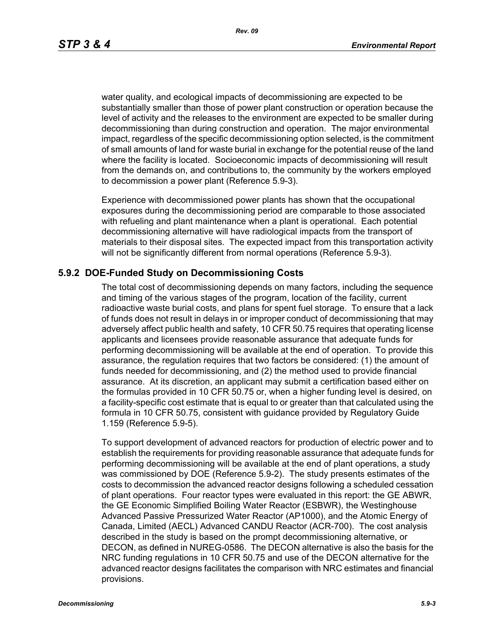*Rev. 09*

water quality, and ecological impacts of decommissioning are expected to be substantially smaller than those of power plant construction or operation because the level of activity and the releases to the environment are expected to be smaller during decommissioning than during construction and operation. The major environmental impact, regardless of the specific decommissioning option selected, is the commitment of small amounts of land for waste burial in exchange for the potential reuse of the land where the facility is located. Socioeconomic impacts of decommissioning will result from the demands on, and contributions to, the community by the workers employed to decommission a power plant (Reference 5.9-3).

Experience with decommissioned power plants has shown that the occupational exposures during the decommissioning period are comparable to those associated with refueling and plant maintenance when a plant is operational. Each potential decommissioning alternative will have radiological impacts from the transport of materials to their disposal sites. The expected impact from this transportation activity will not be significantly different from normal operations (Reference 5.9-3).

## **5.9.2 DOE-Funded Study on Decommissioning Costs**

The total cost of decommissioning depends on many factors, including the sequence and timing of the various stages of the program, location of the facility, current radioactive waste burial costs, and plans for spent fuel storage. To ensure that a lack of funds does not result in delays in or improper conduct of decommissioning that may adversely affect public health and safety, 10 CFR 50.75 requires that operating license applicants and licensees provide reasonable assurance that adequate funds for performing decommissioning will be available at the end of operation. To provide this assurance, the regulation requires that two factors be considered: (1) the amount of funds needed for decommissioning, and (2) the method used to provide financial assurance. At its discretion, an applicant may submit a certification based either on the formulas provided in 10 CFR 50.75 or, when a higher funding level is desired, on a facility-specific cost estimate that is equal to or greater than that calculated using the formula in 10 CFR 50.75, consistent with guidance provided by Regulatory Guide 1.159 (Reference 5.9-5).

To support development of advanced reactors for production of electric power and to establish the requirements for providing reasonable assurance that adequate funds for performing decommissioning will be available at the end of plant operations, a study was commissioned by DOE (Reference 5.9-2). The study presents estimates of the costs to decommission the advanced reactor designs following a scheduled cessation of plant operations. Four reactor types were evaluated in this report: the GE ABWR, the GE Economic Simplified Boiling Water Reactor (ESBWR), the Westinghouse Advanced Passive Pressurized Water Reactor (AP1000), and the Atomic Energy of Canada, Limited (AECL) Advanced CANDU Reactor (ACR-700). The cost analysis described in the study is based on the prompt decommissioning alternative, or DECON, as defined in NUREG-0586. The DECON alternative is also the basis for the NRC funding regulations in 10 CFR 50.75 and use of the DECON alternative for the advanced reactor designs facilitates the comparison with NRC estimates and financial provisions.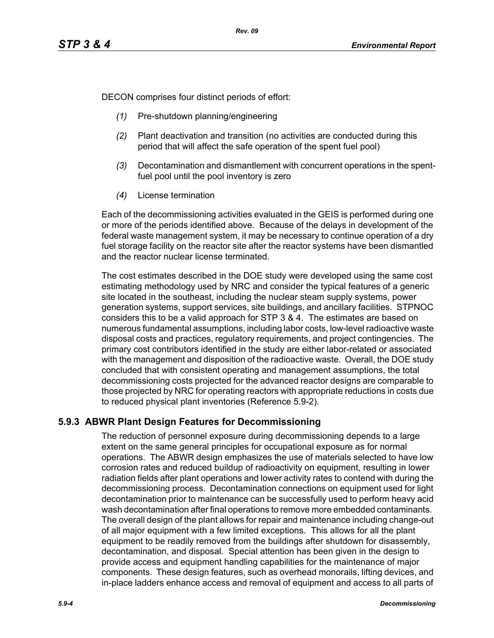DECON comprises four distinct periods of effort:

- *(1)* Pre-shutdown planning/engineering
- *(2)* Plant deactivation and transition (no activities are conducted during this period that will affect the safe operation of the spent fuel pool)
- *(3)* Decontamination and dismantlement with concurrent operations in the spentfuel pool until the pool inventory is zero
- *(4)* License termination

Each of the decommissioning activities evaluated in the GEIS is performed during one or more of the periods identified above. Because of the delays in development of the federal waste management system, it may be necessary to continue operation of a dry fuel storage facility on the reactor site after the reactor systems have been dismantled and the reactor nuclear license terminated.

The cost estimates described in the DOE study were developed using the same cost estimating methodology used by NRC and consider the typical features of a generic site located in the southeast, including the nuclear steam supply systems, power generation systems, support services, site buildings, and ancillary facilities. STPNOC considers this to be a valid approach for STP 3 & 4. The estimates are based on numerous fundamental assumptions, including labor costs, low-level radioactive waste disposal costs and practices, regulatory requirements, and project contingencies. The primary cost contributors identified in the study are either labor-related or associated with the management and disposition of the radioactive waste. Overall, the DOE study concluded that with consistent operating and management assumptions, the total decommissioning costs projected for the advanced reactor designs are comparable to those projected by NRC for operating reactors with appropriate reductions in costs due to reduced physical plant inventories (Reference 5.9-2).

# **5.9.3 ABWR Plant Design Features for Decommissioning**

The reduction of personnel exposure during decommissioning depends to a large extent on the same general principles for occupational exposure as for normal operations. The ABWR design emphasizes the use of materials selected to have low corrosion rates and reduced buildup of radioactivity on equipment, resulting in lower radiation fields after plant operations and lower activity rates to contend with during the decommissioning process. Decontamination connections on equipment used for light decontamination prior to maintenance can be successfully used to perform heavy acid wash decontamination after final operations to remove more embedded contaminants. The overall design of the plant allows for repair and maintenance including change-out of all major equipment with a few limited exceptions. This allows for all the plant equipment to be readily removed from the buildings after shutdown for disassembly, decontamination, and disposal. Special attention has been given in the design to provide access and equipment handling capabilities for the maintenance of major components. These design features, such as overhead monorails, lifting devices, and in-place ladders enhance access and removal of equipment and access to all parts of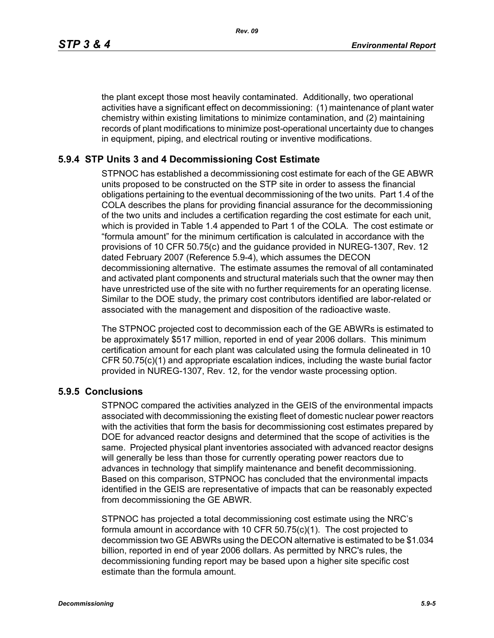the plant except those most heavily contaminated. Additionally, two operational activities have a significant effect on decommissioning: (1) maintenance of plant water chemistry within existing limitations to minimize contamination, and (2) maintaining records of plant modifications to minimize post-operational uncertainty due to changes in equipment, piping, and electrical routing or inventive modifications.

## **5.9.4 STP Units 3 and 4 Decommissioning Cost Estimate**

STPNOC has established a decommissioning cost estimate for each of the GE ABWR units proposed to be constructed on the STP site in order to assess the financial obligations pertaining to the eventual decommissioning of the two units. Part 1.4 of the COLA describes the plans for providing financial assurance for the decommissioning of the two units and includes a certification regarding the cost estimate for each unit, which is provided in Table 1.4 appended to Part 1 of the COLA. The cost estimate or "formula amount" for the minimum certification is calculated in accordance with the provisions of 10 CFR 50.75(c) and the guidance provided in NUREG-1307, Rev. 12 dated February 2007 (Reference 5.9-4), which assumes the DECON decommissioning alternative. The estimate assumes the removal of all contaminated and activated plant components and structural materials such that the owner may then have unrestricted use of the site with no further requirements for an operating license. Similar to the DOE study, the primary cost contributors identified are labor-related or associated with the management and disposition of the radioactive waste.

The STPNOC projected cost to decommission each of the GE ABWRs is estimated to be approximately \$517 million, reported in end of year 2006 dollars. This minimum certification amount for each plant was calculated using the formula delineated in 10 CFR 50.75(c)(1) and appropriate escalation indices, including the waste burial factor provided in NUREG-1307, Rev. 12, for the vendor waste processing option.

#### **5.9.5 Conclusions**

STPNOC compared the activities analyzed in the GEIS of the environmental impacts associated with decommissioning the existing fleet of domestic nuclear power reactors with the activities that form the basis for decommissioning cost estimates prepared by DOE for advanced reactor designs and determined that the scope of activities is the same. Projected physical plant inventories associated with advanced reactor designs will generally be less than those for currently operating power reactors due to advances in technology that simplify maintenance and benefit decommissioning. Based on this comparison, STPNOC has concluded that the environmental impacts identified in the GEIS are representative of impacts that can be reasonably expected from decommissioning the GE ABWR.

STPNOC has projected a total decommissioning cost estimate using the NRC's formula amount in accordance with 10 CFR 50.75(c)(1). The cost projected to decommission two GE ABWRs using the DECON alternative is estimated to be \$1.034 billion, reported in end of year 2006 dollars. As permitted by NRC's rules, the decommissioning funding report may be based upon a higher site specific cost estimate than the formula amount.